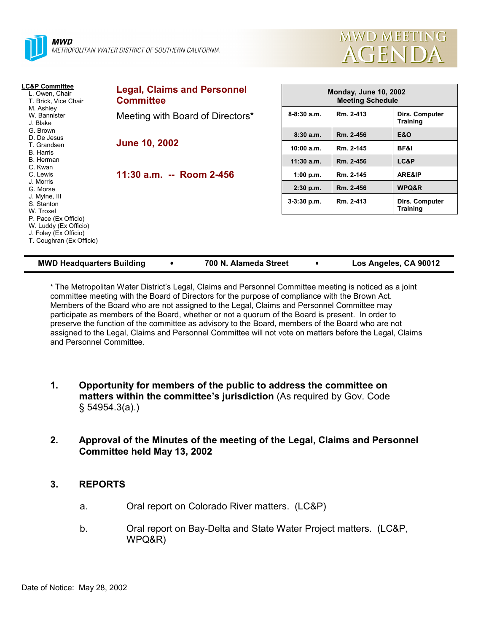



| <b>LC&amp;P Committee</b><br>L. Owen, Chair<br>T. Brick, Vice Chair                                                                                                                            | <b>Legal, Claims and Personnel</b><br><b>Committee</b> |                 | <b>Monday, June 10, 2002</b><br><b>Meeting Schedule</b> |                                   |  |
|------------------------------------------------------------------------------------------------------------------------------------------------------------------------------------------------|--------------------------------------------------------|-----------------|---------------------------------------------------------|-----------------------------------|--|
| M. Ashley<br>W. Bannister<br>J. Blake                                                                                                                                                          | Meeting with Board of Directors*                       | $8 - 8:30$ a.m. | Rm. 2-413                                               | Dirs. Computer<br><b>Training</b> |  |
| G. Brown<br>D. De Jesus                                                                                                                                                                        |                                                        | 8:30a.m.        | Rm. 2-456                                               | <b>E&amp;O</b>                    |  |
| T. Grandsen<br>B. Harris                                                                                                                                                                       | <b>June 10, 2002</b><br>11:30 a.m. -- Room 2-456       | 10:00 a.m.      | Rm. 2-145                                               | <b>BF&amp;I</b>                   |  |
| B. Herman                                                                                                                                                                                      |                                                        | $11:30$ a.m.    | Rm. 2-456                                               | LC&P                              |  |
| C. Kwan<br>C. Lewis<br>J. Morris<br>G. Morse<br>J. Mylne, III<br>S. Stanton<br>W. Troxel<br>P. Pace (Ex Officio)<br>W. Luddy (Ex Officio)<br>J. Foley (Ex Officio)<br>T. Coughran (Ex Officio) |                                                        | 1:00 p.m.       | Rm. 2-145                                               | ARE&IP                            |  |
|                                                                                                                                                                                                |                                                        | 2:30 p.m.       | Rm. 2-456                                               | WPQ&R                             |  |
|                                                                                                                                                                                                |                                                        | $3-3:30$ p.m.   | Rm. 2-413                                               | Dirs. Computer<br><b>Training</b> |  |
|                                                                                                                                                                                                |                                                        |                 |                                                         |                                   |  |

| <b>MWD Headquarters Building</b> | 700 N. Alameda Street | Los Angeles, CA 90012 |
|----------------------------------|-----------------------|-----------------------|
|                                  |                       |                       |

\* The Metropolitan Water Districtís Legal, Claims and Personnel Committee meeting is noticed as a joint committee meeting with the Board of Directors for the purpose of compliance with the Brown Act. Members of the Board who are not assigned to the Legal, Claims and Personnel Committee may participate as members of the Board, whether or not a quorum of the Board is present. In order to preserve the function of the committee as advisory to the Board, members of the Board who are not assigned to the Legal, Claims and Personnel Committee will not vote on matters before the Legal, Claims and Personnel Committee.

- **1. Opportunity for members of the public to address the committee on matters within the committee's jurisdiction** (As required by Gov. Code ß 54954.3(a).)
- **2. Approval of the Minutes of the meeting of the Legal, Claims and Personnel Committee held May 13, 2002**

# **3. REPORTS**

- a. Oral report on Colorado River matters. (LC&P)
- b. Oral report on Bay-Delta and State Water Project matters. (LC&P, WPQ&R)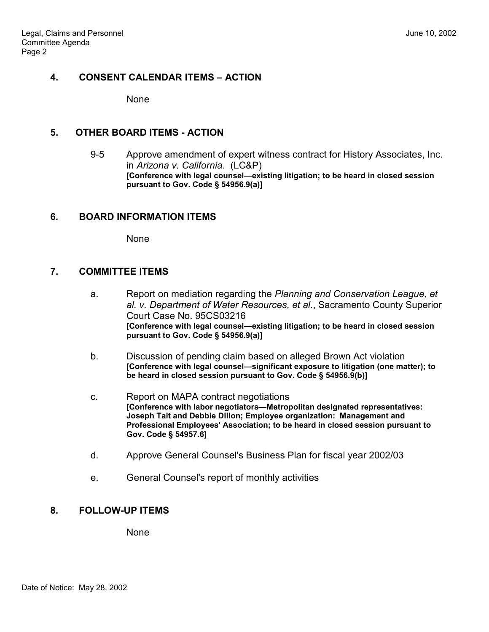### **4. CONSENT CALENDAR ITEMS – ACTION**

None

#### **5. OTHER BOARD ITEMS - ACTION**

9-5 Approve amendment of expert witness contract for History Associates, Inc. in *Arizona v. California*. (LC&P) [Conference with legal counsel-existing litigation; to be heard in closed session **pursuant to Gov. Code ß 54956.9(a)]**

# **6. BOARD INFORMATION ITEMS**

None

### **7. COMMITTEE ITEMS**

- a. Report on mediation regarding the *Planning and Conservation League, et al. v. Department of Water Resources, et al*., Sacramento County Superior Court Case No. 95CS03216 **[Conference with legal counsel—existing litigation; to be heard in closed session pursuant to Gov. Code ß 54956.9(a)]**
- b. Discussion of pending claim based on alleged Brown Act violation **[Conference with legal counsel—significant exposure to litigation (one matter); to be heard in closed session pursuant to Gov. Code ß 54956.9(b)]**
- c. Report on MAPA contract negotiations **[Conference with labor negotiators—Metropolitan designated representatives: Joseph Tait and Debbie Dillon; Employee organization: Management and Professional Employees' Association; to be heard in closed session pursuant to Gov. Code ß 54957.6]**
- d. Approve General Counsel's Business Plan for fiscal year 2002/03
- e. General Counsel's report of monthly activities

# **8. FOLLOW-UP ITEMS**

**None**